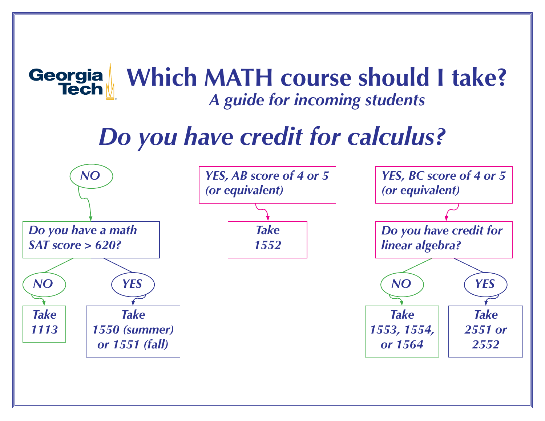